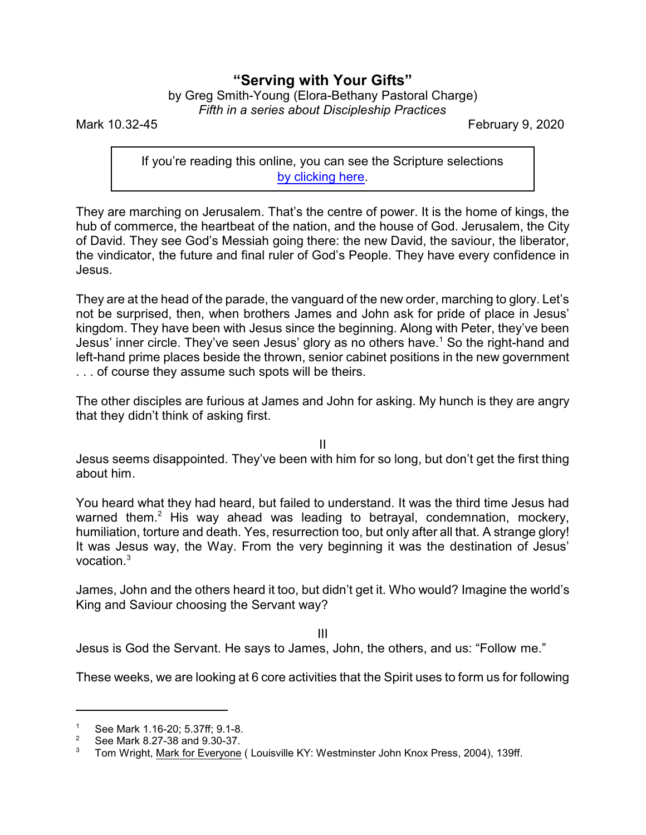## **"Serving with Your Gifts"**

| by Greg Smith-Young (Elora-Bethany Pastoral Charge) |
|-----------------------------------------------------|
| Fifth in a series about Discipleship Practices      |

Mark 10.32-45 February 9, 2020

If you're reading this online, you can see the Scripture selections [by clicking here](https://www.biblegateway.com/passage/?search=Mark+10.32-45&version=CEB).

They are marching on Jerusalem. That's the centre of power. It is the home of kings, the hub of commerce, the heartbeat of the nation, and the house of God. Jerusalem, the City of David. They see God's Messiah going there: the new David, the saviour, the liberator, the vindicator, the future and final ruler of God's People. They have every confidence in Jesus.

They are at the head of the parade, the vanguard of the new order, marching to glory. Let's not be surprised, then, when brothers James and John ask for pride of place in Jesus' kingdom. They have been with Jesus since the beginning. Along with Peter, they've been Jesus' inner circle. They've seen Jesus' glory as no others have.<sup>1</sup> So the right-hand and left-hand prime places beside the thrown, senior cabinet positions in the new government . . . of course they assume such spots will be theirs.

The other disciples are furious at James and John for asking. My hunch is they are angry that they didn't think of asking first.

II

Jesus seems disappointed. They've been with him for so long, but don't get the first thing about him.

You heard what they had heard, but failed to understand. It was the third time Jesus had warned them.<sup>2</sup> His way ahead was leading to betrayal, condemnation, mockery, humiliation, torture and death. Yes, resurrection too, but only after all that. A strange glory! It was Jesus way, the Way. From the very beginning it was the destination of Jesus' vocation.<sup>3</sup>

James, John and the others heard it too, but didn't get it. Who would? Imagine the world's King and Saviour choosing the Servant way?

III

Jesus is God the Servant. He says to James, John, the others, and us: "Follow me."

These weeks, we are looking at 6 core activities that the Spirit uses to form us for following

<sup>&</sup>lt;sup>1</sup> See Mark 1.16-20; 5.37ff; 9.1-8.

 $\frac{2}{3}$  See Mark 8.27-38 and 9.30-37.

<sup>3</sup> Tom Wright, Mark for Everyone ( Louisville KY: Westminster John Knox Press, 2004), 139ff.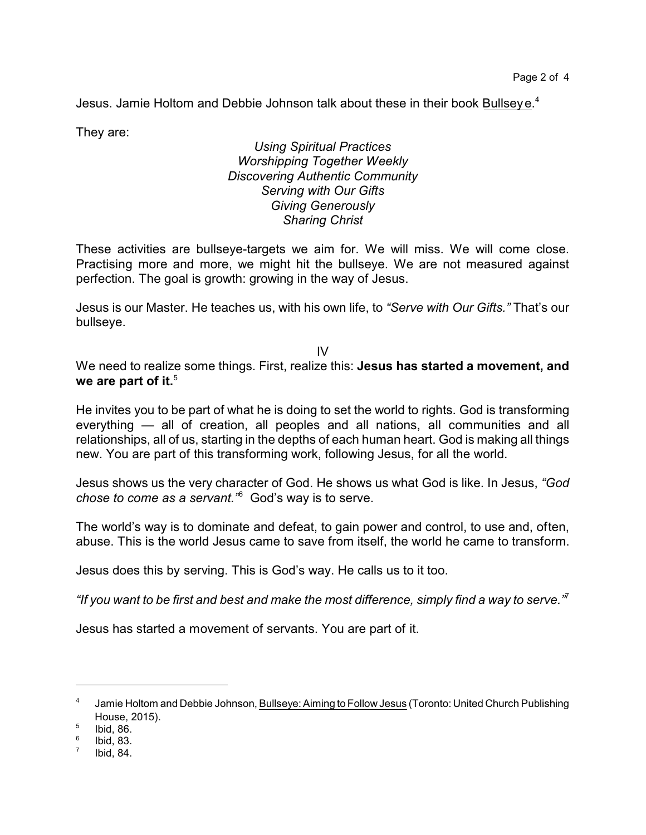Jesus. Jamie Holtom and Debbie Johnson talk about these in their book Bullseye.<sup>4</sup>

They are:

## *Using Spiritual Practices Worshipping Together Weekly Discovering Authentic Community Serving with Our Gifts Giving Generously Sharing Christ*

These activities are bullseye-targets we aim for. We will miss. We will come close. Practising more and more, we might hit the bullseye. We are not measured against perfection. The goal is growth: growing in the way of Jesus.

Jesus is our Master. He teaches us, with his own life, to *"Serve with Our Gifts."* That's our bullseye.

IV

We need to realize some things. First, realize this: **Jesus has started a movement, and** we are part of it.<sup>5</sup>

He invites you to be part of what he is doing to set the world to rights. God is transforming everything — all of creation, all peoples and all nations, all communities and all relationships, all of us, starting in the depths of each human heart. God is making all things new. You are part of this transforming work, following Jesus, for all the world.

Jesus shows us the very character of God. He shows us what God is like. In Jesus, *"God chose to come as a servant."*<sup>6</sup> God's way is to serve.

The world's way is to dominate and defeat, to gain power and control, to use and, often, abuse. This is the world Jesus came to save from itself, the world he came to transform.

Jesus does this by serving. This is God's way. He calls us to it too.

*"If you want to be first and best and make the most difference, simply find a way to serve."*<sup>7</sup>

Jesus has started a movement of servants. You are part of it.

<sup>4</sup> Jamie Holtom and Debbie Johnson, Bullseye: Aiming to Follow Jesus (Toronto: United Church Publishing House, 2015). 5

Ibid, 86.

<sup>6</sup> Ibid, 83.

<sup>7</sup> Ibid, 84.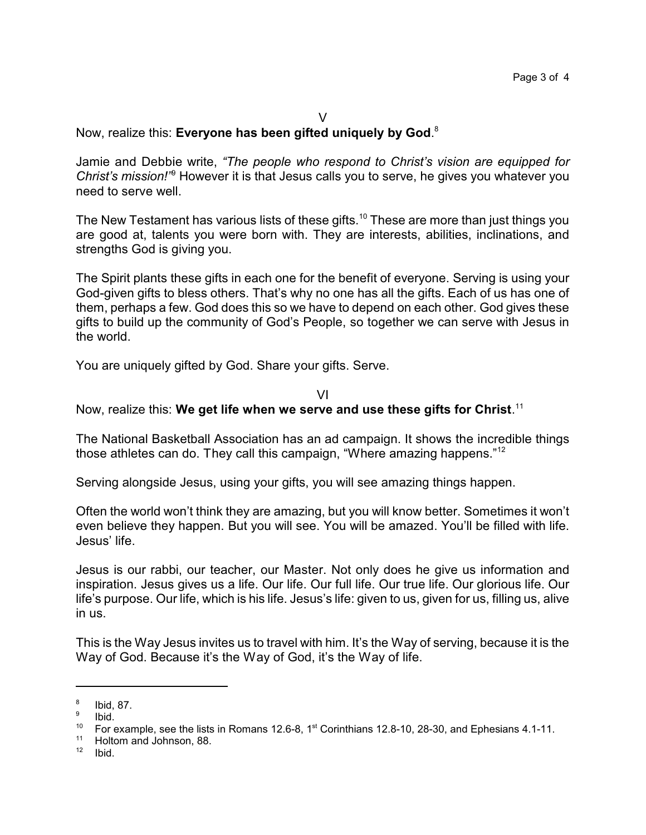## Now, realize this: **Everyone has been gifted uniquely by God**. 8

Jamie and Debbie write, *"The people who respond to Christ's vision are equipped for Christ's mission!"*<sup>9</sup> However it is that Jesus calls you to serve, he gives you whatever you need to serve well.

 $\sqrt{ }$ 

The New Testament has various lists of these gifts.<sup>10</sup> These are more than just things you are good at, talents you were born with. They are interests, abilities, inclinations, and strengths God is giving you.

The Spirit plants these gifts in each one for the benefit of everyone. Serving is using your God-given gifts to bless others. That's why no one has all the gifts. Each of us has one of them, perhaps a few. God does this so we have to depend on each other. God gives these gifts to build up the community of God's People, so together we can serve with Jesus in the world.

You are uniquely gifted by God. Share your gifts. Serve.

VI

## Now, realize this: **We get life when we serve and use these gifts for Christ**. 11

The National Basketball Association has an ad campaign. It shows the incredible things those athletes can do. They call this campaign. "Where amazing happens."<sup>12</sup>

Serving alongside Jesus, using your gifts, you will see amazing things happen.

Often the world won't think they are amazing, but you will know better. Sometimes it won't even believe they happen. But you will see. You will be amazed. You'll be filled with life. Jesus' life.

Jesus is our rabbi, our teacher, our Master. Not only does he give us information and inspiration. Jesus gives us a life. Our life. Our full life. Our true life. Our glorious life. Our life's purpose. Our life, which is his life. Jesus's life: given to us, given for us, filling us, alive in us.

This is the Way Jesus invites us to travel with him. It's the Way of serving, because it is the Way of God. Because it's the Way of God, it's the Way of life.

Ibid.

<sup>8</sup> Ibid, 87.

<sup>9</sup> Ibid.

<sup>&</sup>lt;sup>10</sup> For example, see the lists in Romans 12.6-8, 1<sup>st</sup> Corinthians 12.8-10, 28-30, and Ephesians 4.1-11.

<sup>&</sup>lt;sup>11</sup> Holtom and Johnson, 88.<br><sup>12</sup> Ibid